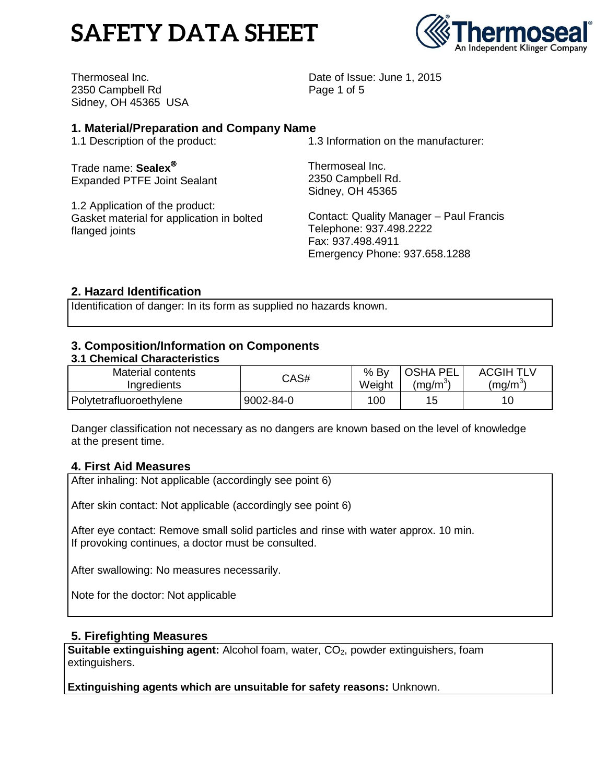# **SAFETY DATA SHEET**



Thermoseal Inc. 2350 Campbell Rd Sidney, OH 45365 USA Date of Issue: June 1, 2015 Page 1 of 5

# **1. Material/Preparation and Company Name**

1.1 Description of the product:

Trade name: **Sealex** Expanded PTFE Joint Sealant

1.2 Application of the product: Gasket material for application in bolted flanged joints

1.3 Information on the manufacturer:

Thermoseal Inc. 2350 Campbell Rd. Sidney, OH 45365

Contact: Quality Manager – Paul Francis Telephone: 937.498.2222 Fax: 937.498.4911 Emergency Phone: 937.658.1288

# **2. Hazard Identification**

Identification of danger: In its form as supplied no hazards known.

## **3. Composition/Information on Components**

#### **3.1 Chemical Characteristics**

| Material contents       | CAS#      | $%$ By | <b>OSHA PEL</b>     | <b>ACGIH TLV</b>   |
|-------------------------|-----------|--------|---------------------|--------------------|
| Ingredients             |           | Weight | (mg/m <sup>or</sup> | (ma/m <sup>o</sup> |
| Polytetrafluoroethylene | 9002-84-0 | 100    | 15                  |                    |

Danger classification not necessary as no dangers are known based on the level of knowledge at the present time.

## **4. First Aid Measures**

After inhaling: Not applicable (accordingly see point 6)

After skin contact: Not applicable (accordingly see point 6)

After eye contact: Remove small solid particles and rinse with water approx. 10 min. If provoking continues, a doctor must be consulted.

After swallowing: No measures necessarily.

Note for the doctor: Not applicable

## **5. Firefighting Measures**

**Suitable extinguishing agent:** Alcohol foam, water, CO<sub>2</sub>, powder extinguishers, foam extinguishers.

**Extinguishing agents which are unsuitable for safety reasons:** Unknown.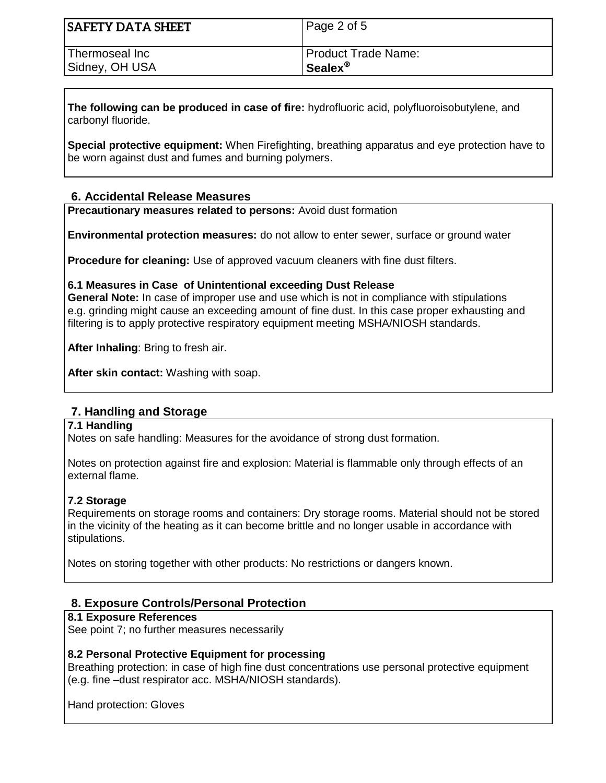| <b>SAFETY DATA SHEET</b> | Page 2 of 5         |
|--------------------------|---------------------|
| Thermoseal Inc           | Product Trade Name: |
| Sidney, OH USA           | Sealex <sup>®</sup> |

**The following can be produced in case of fire:** hydrofluoric acid, polyfluoroisobutylene, and carbonyl fluoride.

**Special protective equipment:** When Firefighting, breathing apparatus and eye protection have to be worn against dust and fumes and burning polymers.

## **6. Accidental Release Measures**

**Precautionary measures related to persons:** Avoid dust formation

**Environmental protection measures:** do not allow to enter sewer, surface or ground water

**Procedure for cleaning:** Use of approved vacuum cleaners with fine dust filters.

#### **6.1 Measures in Case of Unintentional exceeding Dust Release**

**General Note:** In case of improper use and use which is not in compliance with stipulations e.g. grinding might cause an exceeding amount of fine dust. In this case proper exhausting and filtering is to apply protective respiratory equipment meeting MSHA/NIOSH standards.

**After Inhaling**: Bring to fresh air.

**After skin contact:** Washing with soap.

## **7. Handling and Storage**

#### **7.1 Handling**

Notes on safe handling: Measures for the avoidance of strong dust formation.

Notes on protection against fire and explosion: Material is flammable only through effects of an external flame.

#### **7.2 Storage**

Requirements on storage rooms and containers: Dry storage rooms. Material should not be stored in the vicinity of the heating as it can become brittle and no longer usable in accordance with stipulations.

Notes on storing together with other products: No restrictions or dangers known.

## **8. Exposure Controls/Personal Protection**

#### **8.1 Exposure References**

See point 7; no further measures necessarily

#### **8.2 Personal Protective Equipment for processing**

Breathing protection: in case of high fine dust concentrations use personal protective equipment (e.g. fine –dust respirator acc. MSHA/NIOSH standards).

Hand protection: Gloves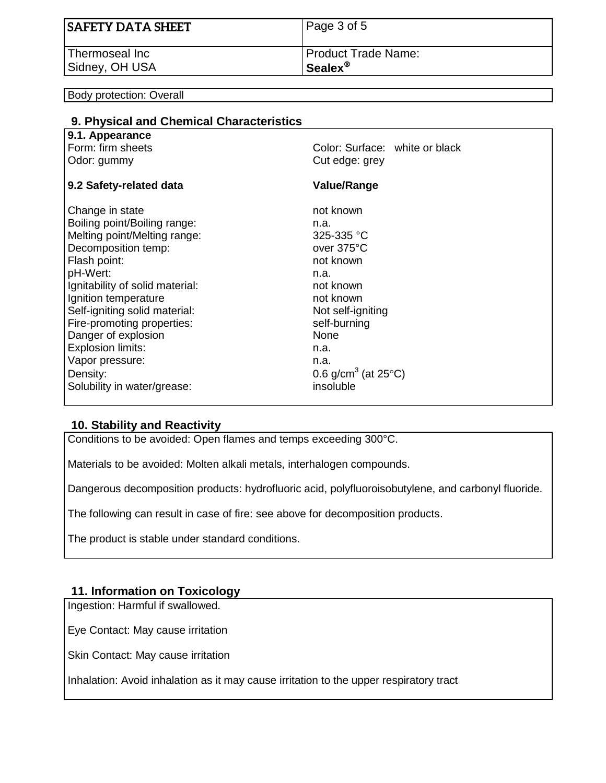| SAFETY DATA SHEET | Page 3 of 5              |
|-------------------|--------------------------|
| l Thermoseal Inc  | Product Trade Name:      |
| Sidney, OH USA    | $S$ ealex $^{\circledR}$ |

Body protection: Overall

| 9. Physical and Chemical Characteristics |                                            |
|------------------------------------------|--------------------------------------------|
| 9.1. Appearance                          |                                            |
| Form: firm sheets                        | Color: Surface: white or black             |
| Odor: gummy                              | Cut edge: grey                             |
| 9.2 Safety-related data                  | <b>Value/Range</b>                         |
| Change in state                          | not known                                  |
| Boiling point/Boiling range:             | n.a.                                       |
| Melting point/Melting range:             | 325-335 °C                                 |
| Decomposition temp:                      | over 375°C                                 |
| Flash point:                             | not known                                  |
| pH-Wert:                                 | n.a.                                       |
| Ignitability of solid material:          | not known                                  |
| Ignition temperature                     | not known                                  |
| Self-igniting solid material:            | Not self-igniting                          |
| Fire-promoting properties:               | self-burning                               |
| Danger of explosion                      | None                                       |
| <b>Explosion limits:</b>                 | n.a.                                       |
| Vapor pressure:                          | n.a.                                       |
| Density:                                 | 0.6 g/cm <sup>3</sup> (at 25 $^{\circ}$ C) |
| Solubility in water/grease:              | insoluble                                  |
|                                          |                                            |

## **10. Stability and Reactivity**

Conditions to be avoided: Open flames and temps exceeding 300°C.

Materials to be avoided: Molten alkali metals, interhalogen compounds.

Dangerous decomposition products: hydrofluoric acid, polyfluoroisobutylene, and carbonyl fluoride.

The following can result in case of fire: see above for decomposition products.

The product is stable under standard conditions.

#### **11. Information on Toxicology**

Ingestion: Harmful if swallowed.

Eye Contact: May cause irritation

Skin Contact: May cause irritation

Inhalation: Avoid inhalation as it may cause irritation to the upper respiratory tract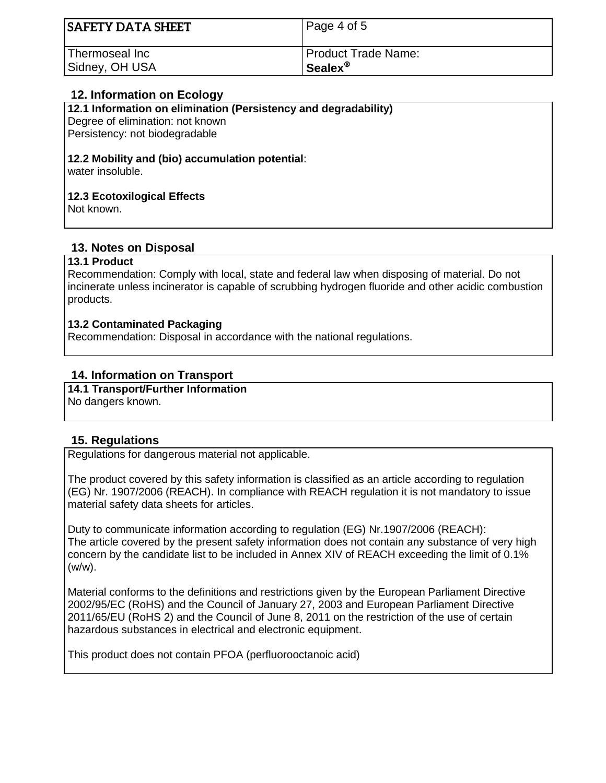| <b>SAFETY DATA SHEET</b> | Page 4 of 5         |
|--------------------------|---------------------|
| Thermoseal Inc           | Product Trade Name: |
| Sidney, OH USA           | Sealex <sup>®</sup> |

# **12. Information on Ecology**

**12.1 Information on elimination (Persistency and degradability)**

Degree of elimination: not known Persistency: not biodegradable

# **12.2 Mobility and (bio) accumulation potential**:

water insoluble.

#### **12.3 Ecotoxilogical Effects**

Not known.

## **13. Notes on Disposal**

#### **13.1 Product**

Recommendation: Comply with local, state and federal law when disposing of material. Do not incinerate unless incinerator is capable of scrubbing hydrogen fluoride and other acidic combustion products.

#### **13.2 Contaminated Packaging**

Recommendation: Disposal in accordance with the national regulations.

# **14. Information on Transport**

**14.1 Transport/Further Information**

No dangers known.

## **15. Regulations**

Regulations for dangerous material not applicable.

The product covered by this safety information is classified as an article according to regulation (EG) Nr. 1907/2006 (REACH). In compliance with REACH regulation it is not mandatory to issue material safety data sheets for articles.

Duty to communicate information according to regulation (EG) Nr.1907/2006 (REACH): The article covered by the present safety information does not contain any substance of very high concern by the candidate list to be included in Annex XIV of REACH exceeding the limit of 0.1% (w/w).

Material conforms to the definitions and restrictions given by the European Parliament Directive 2002/95/EC (RoHS) and the Council of January 27, 2003 and European Parliament Directive 2011/65/EU (RoHS 2) and the Council of June 8, 2011 on the restriction of the use of certain hazardous substances in electrical and electronic equipment.

This product does not contain PFOA (perfluorooctanoic acid)